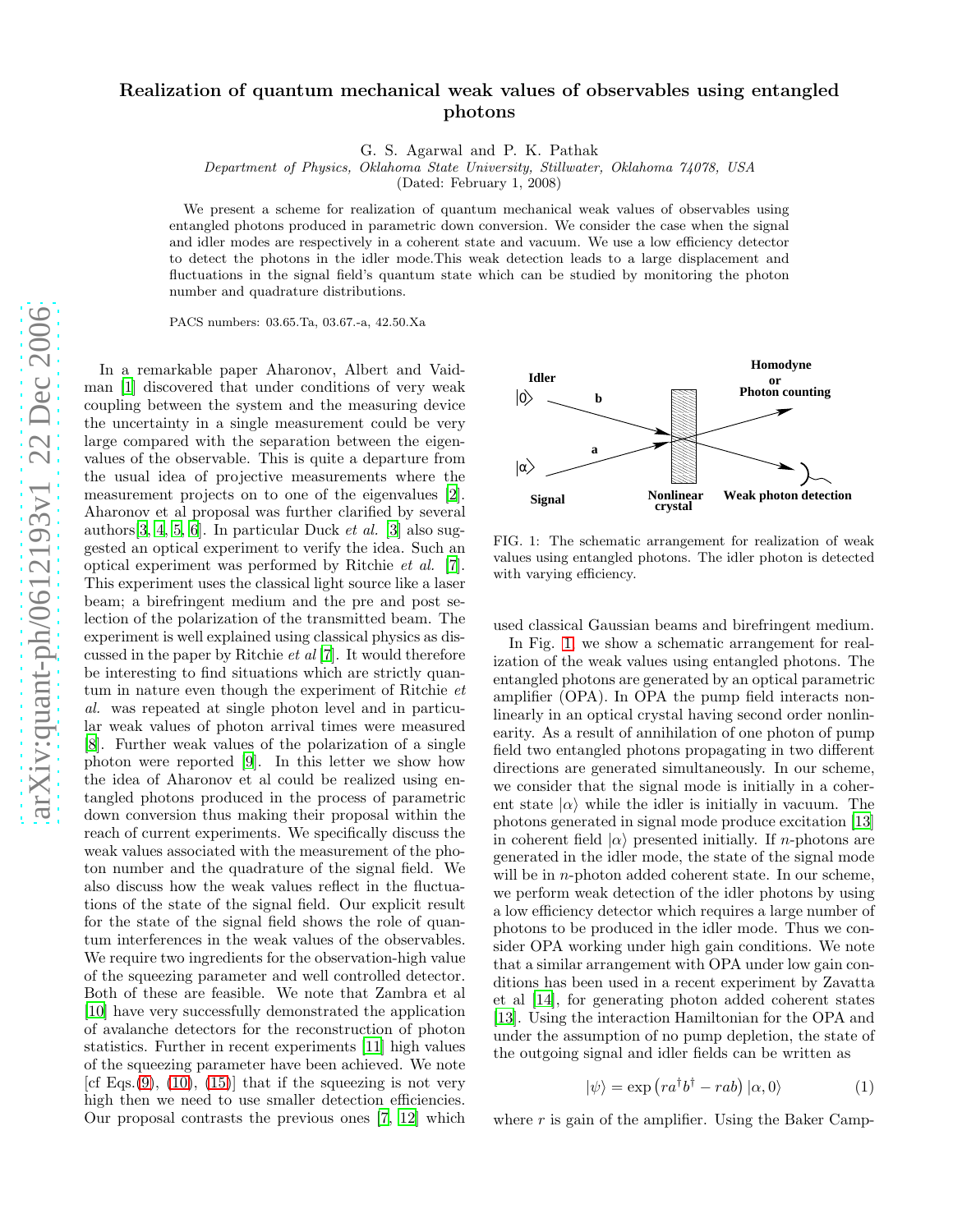## arXiv:quant-ph/0612193v1 22 Dec 2006 [arXiv:quant-ph/0612193v1 22 Dec 2006](http://arXiv.org/abs/quant-ph/0612193v1)

## Realization of quantum mechanical weak values of observables using entangled photons

G. S. Agarwal and P. K. Pathak

Department of Physics, Oklahoma State University, Stillwater, Oklahoma 74078, USA

(Dated: February 1, 2008)

We present a scheme for realization of quantum mechanical weak values of observables using entangled photons produced in parametric down conversion. We consider the case when the signal and idler modes are respectively in a coherent state and vacuum. We use a low efficiency detector to detect the photons in the idler mode.This weak detection leads to a large displacement and fluctuations in the signal field's quantum state which can be studied by monitoring the photon number and quadrature distributions.

PACS numbers: 03.65.Ta, 03.67.-a, 42.50.Xa

In a remarkable paper Aharonov, Albert and Vaidman [\[1\]](#page-3-0) discovered that under conditions of very weak coupling between the system and the measuring device the uncertainty in a single measurement could be very large compared with the separation between the eigenvalues of the observable. This is quite a departure from the usual idea of projective measurements where the measurement projects on to one of the eigenvalues [\[2\]](#page-3-1). Aharonov et al proposal was further clarified by several authors[\[3,](#page-3-2) [4](#page-3-3), [5,](#page-3-4) [6](#page-3-5)]. In particular Duck et al. [\[3](#page-3-2)] also suggested an optical experiment to verify the idea. Such an optical experiment was performed by Ritchie et al. [\[7\]](#page-3-6). This experiment uses the classical light source like a laser beam; a birefringent medium and the pre and post selection of the polarization of the transmitted beam. The experiment is well explained using classical physics as discussed in the paper by Ritchie et al [\[7\]](#page-3-6). It would therefore be interesting to find situations which are strictly quantum in nature even though the experiment of Ritchie et al. was repeated at single photon level and in particular weak values of photon arrival times were measured [\[8\]](#page-3-7). Further weak values of the polarization of a single photon were reported [\[9\]](#page-3-8). In this letter we show how the idea of Aharonov et al could be realized using entangled photons produced in the process of parametric down conversion thus making their proposal within the reach of current experiments. We specifically discuss the weak values associated with the measurement of the photon number and the quadrature of the signal field. We also discuss how the weak values reflect in the fluctuations of the state of the signal field. Our explicit result for the state of the signal field shows the role of quantum interferences in the weak values of the observables. We require two ingredients for the observation-high value of the squeezing parameter and well controlled detector. Both of these are feasible. We note that Zambra et al [\[10\]](#page-3-9) have very successfully demonstrated the application of avalanche detectors for the reconstruction of photon statistics. Further in recent experiments [\[11\]](#page-3-10) high values of the squeezing parameter have been achieved. We note [cf Eqs.[\(9\)](#page-1-0),  $(10)$ ,  $(15)$ ] that if the squeezing is not very high then we need to use smaller detection efficiencies. Our proposal contrasts the previous ones [\[7,](#page-3-6) [12\]](#page-3-11) which



<span id="page-0-0"></span>FIG. 1: The schematic arrangement for realization of weak values using entangled photons. The idler photon is detecte d with varying efficiency.

used classical Gaussian beams and birefringent medium.

In Fig. [1,](#page-0-0) we show a schematic arrangement for realization of the weak values using entangled photons. The entangled photons are generated by an optical parametric amplifier (OPA). In OPA the pump field interacts nonlinearly in an optical crystal having second order nonlinearity. As a result of annihilation of one photon of pump field two entangled photons propagating in two different directions are generated simultaneously. In our scheme, we consider that the signal mode is initially in a coherent state  $|\alpha\rangle$  while the idler is initially in vacuum. The photons generated in signal mode produce excitation [\[13](#page-3-12)] in coherent field  $|\alpha\rangle$  presented initially. If *n*-photons are generated in the idler mode, the state of the signal mode will be in *n*-photon added coherent state. In our scheme, we perform weak detection of the idler photons by using a low efficiency detector which requires a large number of photons to be produced in the idler mode. Thus we consider OPA working under high gain conditions. We note that a similar arrangement with OPA under low gain conditions has been used in a recent experiment by Zavatta et al [\[14\]](#page-3-13), for generating photon added coherent states [\[13\]](#page-3-12). Using the interaction Hamiltonian for the OPA and under the assumption of no pump depletion, the state of the outgoing signal and idler fields can be written as

<span id="page-0-1"></span>
$$
|\psi\rangle = \exp\left(r a^{\dagger} b^{\dagger} - r a b\right) |\alpha, 0\rangle \tag{1}
$$

where  $r$  is gain of the amplifier. Using the Baker Camp-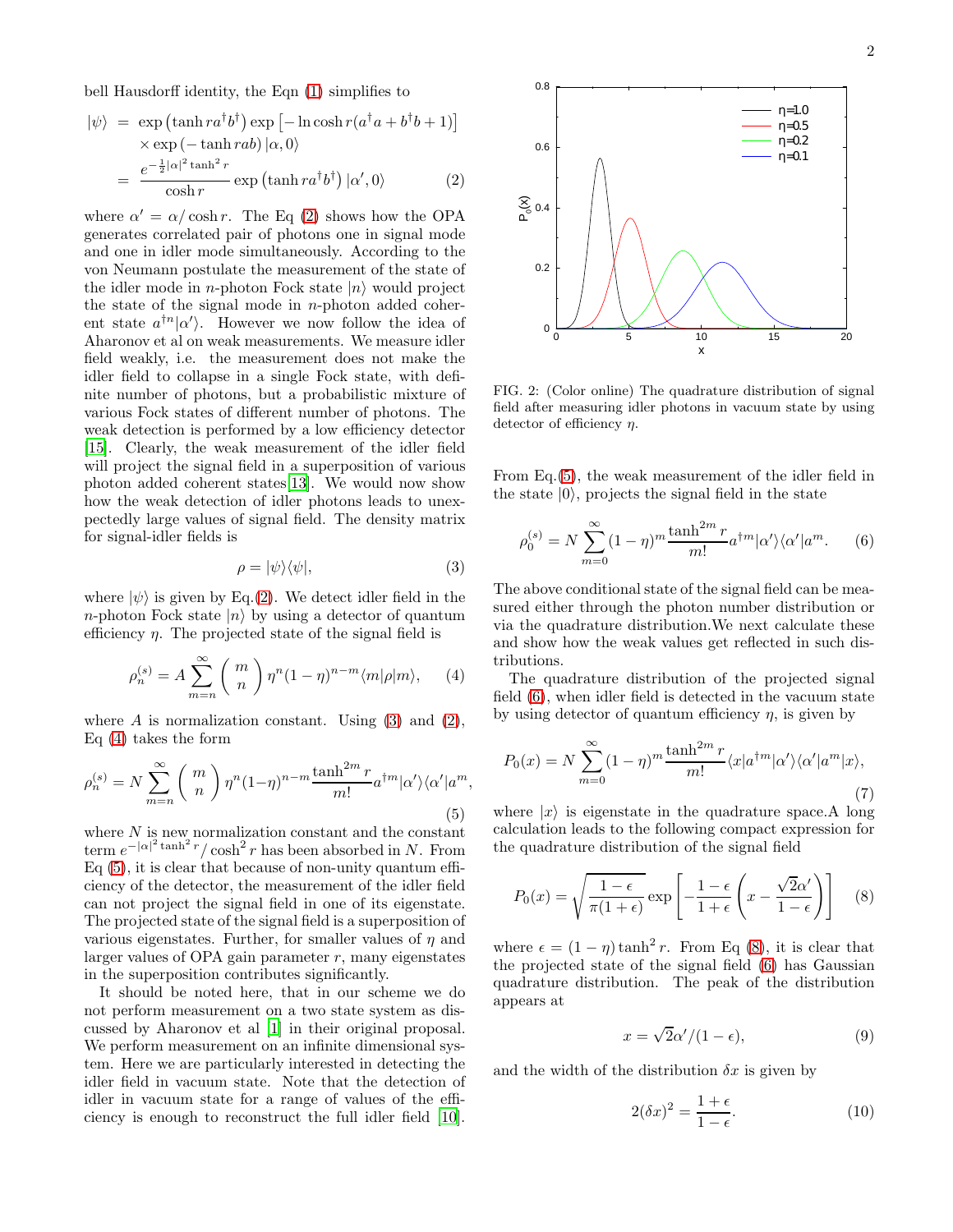bell Hausdorff identity, the Eqn [\(1\)](#page-0-1) simplifies to

<span id="page-1-2"></span>
$$
|\psi\rangle = \exp\left(\tanh r a^{\dagger} b^{\dagger}\right) \exp\left[-\ln \cosh r (a^{\dagger} a + b^{\dagger} b + 1)\right]
$$
  
 
$$
\times \exp\left(-\tanh r a b\right) |\alpha, 0\rangle
$$
  

$$
= \frac{e^{-\frac{1}{2}|\alpha|^2 \tanh^2 r}}{\cosh r} \exp\left(\tanh r a^{\dagger} b^{\dagger}\right) |\alpha', 0\rangle \tag{2}
$$

 $\mathbf{r}$ 

where  $\alpha' = \alpha / \cosh r$ . The Eq [\(2\)](#page-1-2) shows how the OPA generates correlated pair of photons one in signal mode and one in idler mode simultaneously. According to the von Neumann postulate the measurement of the state of the idler mode in *n*-photon Fock state  $|n\rangle$  would project the state of the signal mode in  $n$ -photon added coherent state  $a^{\dagger n}|\alpha\rangle$ . However we now follow the idea of Aharonov et al on weak measurements. We measure idler field weakly, i.e. the measurement does not make the idler field to collapse in a single Fock state, with definite number of photons, but a probabilistic mixture of various Fock states of different number of photons. The weak detection is performed by a low efficiency detector [\[15\]](#page-4-0). Clearly, the weak measurement of the idler field will project the signal field in a superposition of various photon added coherent states[\[13\]](#page-3-12). We would now show how the weak detection of idler photons leads to unexpectedly large values of signal field. The density matrix for signal-idler fields is

<span id="page-1-3"></span>
$$
\rho = |\psi\rangle\langle\psi|,\tag{3}
$$

where  $|\psi\rangle$  is given by Eq.[\(2\)](#page-1-2). We detect idler field in the *n*-photon Fock state  $|n\rangle$  by using a detector of quantum efficiency  $\eta$ . The projected state of the signal field is

<span id="page-1-4"></span>
$$
\rho_n^{(s)} = A \sum_{m=n}^{\infty} {m \choose n} \eta^n (1-\eta)^{n-m} \langle m|\rho|m\rangle, \qquad (4)
$$

where  $A$  is normalization constant. Using [\(3\)](#page-1-3) and [\(2\)](#page-1-2), Eq [\(4\)](#page-1-4) takes the form

<span id="page-1-5"></span>
$$
\rho_n^{(s)} = N \sum_{m=n}^{\infty} {m \choose n} \eta^n (1-\eta)^{n-m} \frac{\tanh^{2m} r}{m!} a^{\dagger m} |\alpha'\rangle \langle \alpha'| a^m,
$$
\n(5)

where  $N$  is new normalization constant and the constant term  $e^{-|\alpha|^2 \tanh^2 r} / \cosh^2 r$  has been absorbed in N. From  $Eq(5)$ , it is clear that because of non-unity quantum efficiency of the detector, the measurement of the idler field can not project the signal field in one of its eigenstate. The projected state of the signal field is a superposition of various eigenstates. Further, for smaller values of  $\eta$  and larger values of OPA gain parameter  $r$ , many eigenstates in the superposition contributes significantly.

It should be noted here, that in our scheme we do not perform measurement on a two state system as discussed by Aharonov et al [\[1\]](#page-3-0) in their original proposal. We perform measurement on an infinite dimensional system. Here we are particularly interested in detecting the idler field in vacuum state. Note that the detection of idler in vacuum state for a range of values of the efficiency is enough to reconstruct the full idler field [\[10\]](#page-3-9).



<span id="page-1-8"></span>FIG. 2: (Color online) The quadrature distribution of signal field after measuring idler photons in vacuum state by using detector of efficiency  $\eta$ .

From Eq.[\(5\)](#page-1-5), the weak measurement of the idler field in the state  $|0\rangle$ , projects the signal field in the state

<span id="page-1-6"></span>
$$
\rho_0^{(s)} = N \sum_{m=0}^{\infty} (1 - \eta)^m \frac{\tanh^{2m} r}{m!} a^{\dagger m} |\alpha'\rangle \langle \alpha'| a^m. \tag{6}
$$

The above conditional state of the signal field can be measured either through the photon number distribution or via the quadrature distribution.We next calculate these and show how the weak values get reflected in such distributions.

The quadrature distribution of the projected signal field [\(6\)](#page-1-6), when idler field is detected in the vacuum state by using detector of quantum efficiency  $\eta$ , is given by

$$
P_0(x) = N \sum_{m=0}^{\infty} (1 - \eta)^m \frac{\tanh^{2m} r}{m!} \langle x | a^{\dagger m} | \alpha' \rangle \langle \alpha' | a^m | x \rangle,
$$
\n(7)

where  $|x\rangle$  is eigenstate in the quadrature space. A long calculation leads to the following compact expression for the quadrature distribution of the signal field

<span id="page-1-7"></span>
$$
P_0(x) = \sqrt{\frac{1-\epsilon}{\pi(1+\epsilon)}} \exp\left[-\frac{1-\epsilon}{1+\epsilon}\left(x - \frac{\sqrt{2}\alpha'}{1-\epsilon}\right)\right]
$$
 (8)

where  $\epsilon = (1 - \eta) \tanh^2 r$ . From Eq [\(8\)](#page-1-7), it is clear that the projected state of the signal field [\(6\)](#page-1-6) has Gaussian quadrature distribution. The peak of the distribution appears at

<span id="page-1-0"></span>
$$
x = \sqrt{2}\alpha'/(1 - \epsilon),\tag{9}
$$

and the width of the distribution  $\delta x$  is given by

<span id="page-1-1"></span>
$$
2(\delta x)^2 = \frac{1+\epsilon}{1-\epsilon}.\tag{10}
$$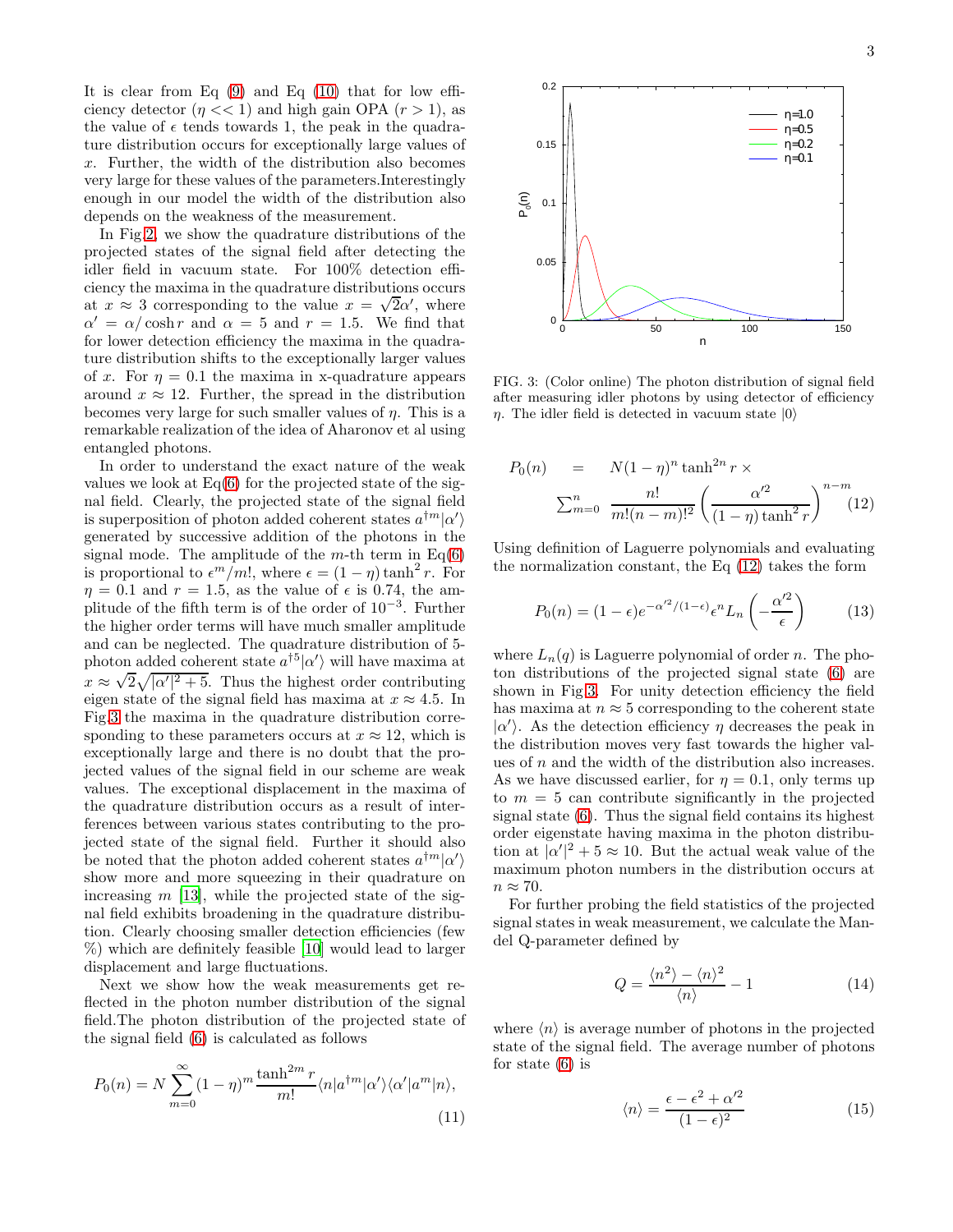It is clear from Eq  $(9)$  and Eq  $(10)$  that for low efficiency detector  $(\eta \ll 1)$  and high gain OPA  $(r > 1)$ , as the value of  $\epsilon$  tends towards 1, the peak in the quadrature distribution occurs for exceptionally large values of x. Further, the width of the distribution also becomes very large for these values of the parameters.Interestingly enough in our model the width of the distribution also depends on the weakness of the measurement.

In Fig. 2, we show the quadrature distributions of the projected states of the signal field after detecting the idler field in vacuum state. For 100% detection efficiency the maxima in the quadrature distributions occurs at  $x \approx 3$  corresponding to the value  $x = \sqrt{2}\alpha'$ , where  $\alpha' = \alpha / \cosh r$  and  $\alpha = 5$  and  $r = 1.5$ . We find that for lower detection efficiency the maxima in the quadrature distribution shifts to the exceptionally larger values of x. For  $\eta = 0.1$  the maxima in x-quadrature appears around  $x \approx 12$ . Further, the spread in the distribution becomes very large for such smaller values of  $\eta$ . This is a remarkable realization of the idea of Aharonov et al using entangled photons.

In order to understand the exact nature of the weak values we look at  $Eq(6)$  $Eq(6)$  for the projected state of the signal field. Clearly, the projected state of the signal field is superposition of photon added coherent states  $a^{\dagger m}|\alpha'\rangle$ generated by successive addition of the photons in the signal mode. The amplitude of the  $m$ -th term in Eq[\(6\)](#page-1-6) is proportional to  $\epsilon^m/m!$ , where  $\epsilon = (1 - \eta) \tanh^2 r$ . For  $\eta = 0.1$  and  $r = 1.5$ , as the value of  $\epsilon$  is 0.74, the amplitude of the fifth term is of the order of 10<sup>−</sup><sup>3</sup> . Further the higher order terms will have much smaller amplitude and can be neglected. The quadrature distribution of 5 photon added coherent state  $a^{\dagger 5}|\alpha'\rangle$  will have maxima at  $x \approx \sqrt{2} \sqrt{|\alpha'|^2 + 5}$ . Thus the highest order contributing eigen state of the signal field has maxima at  $x \approx 4.5$ . In Fig[.3](#page-2-1) the maxima in the quadrature distribution corresponding to these parameters occurs at  $x \approx 12$ , which is exceptionally large and there is no doubt that the projected values of the signal field in our scheme are weak values. The exceptional displacement in the maxima of the quadrature distribution occurs as a result of interferences between various states contributing to the projected state of the signal field. Further it should also be noted that the photon added coherent states  $a^{\dagger m}|\alpha'\rangle$ show more and more squeezing in their quadrature on increasing  $m$  [\[13\]](#page-3-12), while the projected state of the signal field exhibits broadening in the quadrature distribution. Clearly choosing smaller detection efficiencies (few %) which are definitely feasible [\[10\]](#page-3-9) would lead to larger displacement and large fluctuations.

Next we show how the weak measurements get reflected in the photon number distribution of the signal field.The photon distribution of the projected state of the signal field [\(6\)](#page-1-6) is calculated as follows

$$
P_0(n) = N \sum_{m=0}^{\infty} (1 - \eta)^m \frac{\tanh^{2m} r}{m!} \langle n | a^{\dagger m} | \alpha' \rangle \langle \alpha' | a^m | n \rangle,
$$
\n(11)



<span id="page-2-1"></span>FIG. 3: (Color online) The photon distribution of signal field after measuring idler photons by using detector of efficiency  $\eta$ . The idler field is detected in vacuum state  $|0\rangle$ 

<span id="page-2-2"></span>
$$
P_0(n) = N(1 - \eta)^n \tanh^{2n} r \times \sum_{m=0}^n \frac{n!}{m!(n-m)!^2} \left(\frac{\alpha'^2}{(1 - \eta) \tanh^2 r}\right)^{n-m}
$$
(12)

Using definition of Laguerre polynomials and evaluating the normalization constant, the Eq [\(12\)](#page-2-2) takes the form

$$
P_0(n) = (1 - \epsilon)e^{-\alpha'^2/(1 - \epsilon)} \epsilon^n L_n\left(-\frac{\alpha'^2}{\epsilon}\right) \tag{13}
$$

where  $L_n(q)$  is Laguerre polynomial of order n. The photon distributions of the projected signal state [\(6\)](#page-1-6) are shown in Fig[.3.](#page-2-1) For unity detection efficiency the field has maxima at  $n \approx 5$  corresponding to the coherent state  $|α'$ ). As the detection efficiency  $η$  decreases the peak in the distribution moves very fast towards the higher values of  $n$  and the width of the distribution also increases. As we have discussed earlier, for  $\eta = 0.1$ , only terms up to  $m = 5$  can contribute significantly in the projected signal state [\(6\)](#page-1-6). Thus the signal field contains its highest order eigenstate having maxima in the photon distribution at  $|\alpha'|^2 + 5 \approx 10$ . But the actual weak value of the maximum photon numbers in the distribution occurs at  $n \approx 70$ .

For further probing the field statistics of the projected signal states in weak measurement, we calculate the Mandel Q-parameter defined by

$$
Q = \frac{\langle n^2 \rangle - \langle n \rangle^2}{\langle n \rangle} - 1 \tag{14}
$$

where  $\langle n \rangle$  is average number of photons in the projected state of the signal field. The average number of photons for state [\(6\)](#page-1-6) is

<span id="page-2-0"></span>
$$
\langle n \rangle = \frac{\epsilon - \epsilon^2 + \alpha'^2}{(1 - \epsilon)^2} \tag{15}
$$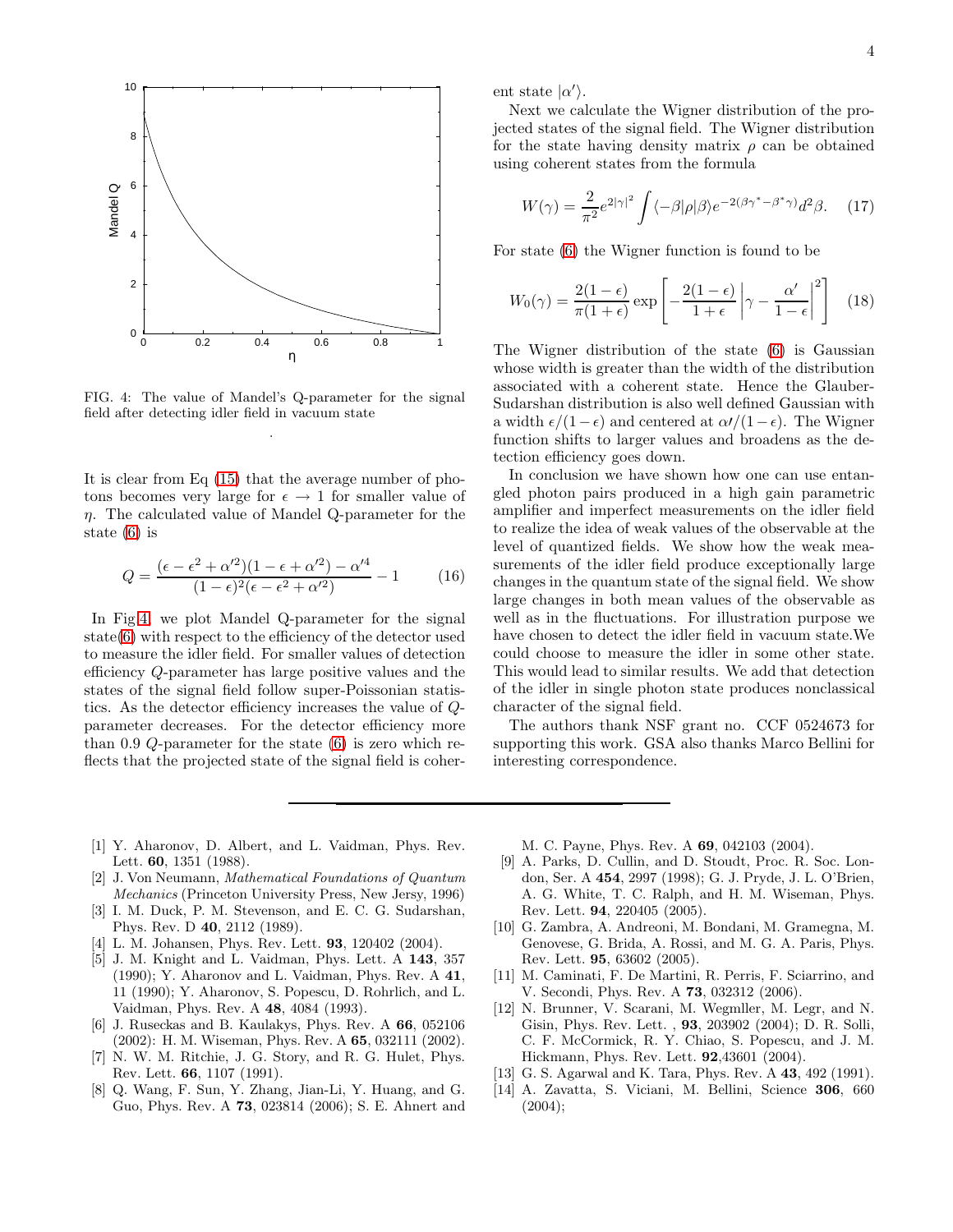

<span id="page-3-14"></span>FIG. 4: The value of Mandel's Q-parameter for the signal field after detecting idler field in vacuum state .

It is clear from Eq [\(15\)](#page-2-0) that the average number of photons becomes very large for  $\epsilon \to 1$  for smaller value of  $\eta$ . The calculated value of Mandel Q-parameter for the state [\(6\)](#page-1-6) is

$$
Q = \frac{(\epsilon - \epsilon^2 + \alpha'^2)(1 - \epsilon + \alpha'^2) - \alpha'^4}{(1 - \epsilon)^2(\epsilon - \epsilon^2 + \alpha'^2)} - 1
$$
 (16)

In Fig[.4,](#page-3-14) we plot Mandel Q-parameter for the signal state[\(6\)](#page-1-6) with respect to the efficiency of the detector used to measure the idler field. For smaller values of detection efficiency Q-parameter has large positive values and the states of the signal field follow super-Poissonian statistics. As the detector efficiency increases the value of Qparameter decreases. For the detector efficiency more than 0.9 Q-parameter for the state [\(6\)](#page-1-6) is zero which reflects that the projected state of the signal field is coherent state  $|\alpha\rangle$ .

Next we calculate the Wigner distribution of the projected states of the signal field. The Wigner distribution for the state having density matrix  $\rho$  can be obtained using coherent states from the formula

$$
W(\gamma) = \frac{2}{\pi^2} e^{2|\gamma|^2} \int \langle -\beta | \rho | \beta \rangle e^{-2(\beta \gamma^* - \beta^* \gamma)} d^2 \beta. \tag{17}
$$

For state [\(6\)](#page-1-6) the Wigner function is found to be

$$
W_0(\gamma) = \frac{2(1-\epsilon)}{\pi(1+\epsilon)} \exp\left[-\frac{2(1-\epsilon)}{1+\epsilon} \left|\gamma - \frac{\alpha'}{1-\epsilon}\right|^2\right] \quad (18)
$$

The Wigner distribution of the state [\(6\)](#page-1-6) is Gaussian whose width is greater than the width of the distribution associated with a coherent state. Hence the Glauber-Sudarshan distribution is also well defined Gaussian with a width  $\epsilon/(1-\epsilon)$  and centered at  $\alpha/(1-\epsilon)$ . The Wigner function shifts to larger values and broadens as the detection efficiency goes down.

In conclusion we have shown how one can use entangled photon pairs produced in a high gain parametric amplifier and imperfect measurements on the idler field to realize the idea of weak values of the observable at the level of quantized fields. We show how the weak measurements of the idler field produce exceptionally large changes in the quantum state of the signal field. We show large changes in both mean values of the observable as well as in the fluctuations. For illustration purpose we have chosen to detect the idler field in vacuum state.We could choose to measure the idler in some other state. This would lead to similar results. We add that detection of the idler in single photon state produces nonclassical character of the signal field.

The authors thank NSF grant no. CCF 0524673 for supporting this work. GSA also thanks Marco Bellini for interesting correspondence.

- <span id="page-3-0"></span>[1] Y. Aharonov, D. Albert, and L. Vaidman, Phys. Rev. Lett. 60, 1351 (1988).
- <span id="page-3-1"></span>[2] J. Von Neumann, Mathematical Foundations of Quantum Mechanics (Princeton University Press, New Jersy, 1996)
- <span id="page-3-2"></span>[3] I. M. Duck, P. M. Stevenson, and E. C. G. Sudarshan, Phys. Rev. D 40, 2112 (1989).
- <span id="page-3-3"></span>[4] L. M. Johansen, Phys. Rev. Lett. **93**, 120402 (2004).
- <span id="page-3-4"></span>[5] J. M. Knight and L. Vaidman, Phys. Lett. A 143, 357 (1990); Y. Aharonov and L. Vaidman, Phys. Rev. A 41, 11 (1990); Y. Aharonov, S. Popescu, D. Rohrlich, and L. Vaidman, Phys. Rev. A 48, 4084 (1993).
- <span id="page-3-5"></span>[6] J. Ruseckas and B. Kaulakys, Phys. Rev. A 66, 052106 (2002): H. M. Wiseman, Phys. Rev. A 65, 032111 (2002).
- <span id="page-3-6"></span>[7] N. W. M. Ritchie, J. G. Story, and R. G. Hulet, Phys. Rev. Lett. 66, 1107 (1991).
- <span id="page-3-7"></span>[8] Q. Wang, F. Sun, Y. Zhang, Jian-Li, Y. Huang, and G. Guo, Phys. Rev. A 73, 023814 (2006); S. E. Ahnert and

M. C. Payne, Phys. Rev. A 69, 042103 (2004).

- <span id="page-3-8"></span>[9] A. Parks, D. Cullin, and D. Stoudt, Proc. R. Soc. London, Ser. A 454, 2997 (1998); G. J. Pryde, J. L. O'Brien, A. G. White, T. C. Ralph, and H. M. Wiseman, Phys. Rev. Lett. 94, 220405 (2005).
- <span id="page-3-9"></span>[10] G. Zambra, A. Andreoni, M. Bondani, M. Gramegna, M. Genovese, G. Brida, A. Rossi, and M. G. A. Paris, Phys. Rev. Lett. 95, 63602 (2005).
- <span id="page-3-10"></span>[11] M. Caminati, F. De Martini, R. Perris, F. Sciarrino, and V. Secondi, Phys. Rev. A 73, 032312 (2006).
- <span id="page-3-11"></span>[12] N. Brunner, V. Scarani, M. Wegmller, M. Legr, and N. Gisin, Phys. Rev. Lett. , 93, 203902 (2004); D. R. Solli, C. F. McCormick, R. Y. Chiao, S. Popescu, and J. M. Hickmann, Phys. Rev. Lett. 92,43601 (2004).
- <span id="page-3-12"></span>[13] G. S. Agarwal and K. Tara, Phys. Rev. A **43**, 492 (1991).
- <span id="page-3-13"></span>[14] A. Zavatta, S. Viciani, M. Bellini, Science 306, 660  $(2004);$